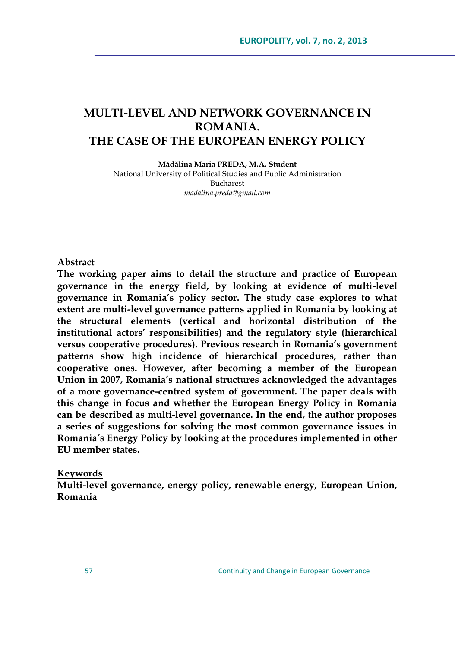# **MULTI-LEVEL AND NETWORK GOVERNANCE IN ROMANIA. THE CASE OF THE EUROPEAN ENERGY POLICY**

**Mădălina Maria PREDA, M.A. Student**

National University of Political Studies and Public Administration Bucharest *madalina.preda@gmail.com*

#### **Abstract**

**The working paper aims to detail the structure and practice of European governance in the energy field, by looking at evidence of multi-level governance in Romania's policy sector. The study case explores to what extent are multi-level governance patterns applied in Romania by looking at the structural elements (vertical and horizontal distribution of the institutional actors' responsibilities) and the regulatory style (hierarchical versus cooperative procedures). Previous research in Romania's government patterns show high incidence of hierarchical procedures, rather than cooperative ones. However, after becoming a member of the European Union in 2007, Romania's national structures acknowledged the advantages of a more governance-centred system of government. The paper deals with this change in focus and whether the European Energy Policy in Romania can be described as multi-level governance. In the end, the author proposes a series of suggestions for solving the most common governance issues in Romania's Energy Policy by looking at the procedures implemented in other EU member states.**

#### **Keywords**

**Multi-level governance, energy policy, renewable energy, European Union, Romania**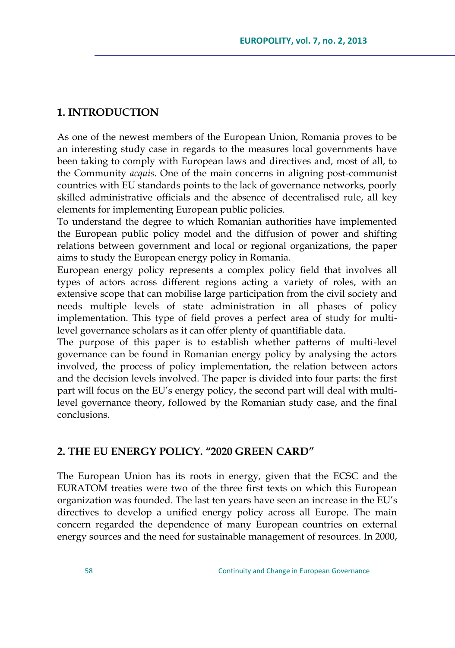## **1. INTRODUCTION**

As one of the newest members of the European Union, Romania proves to be an interesting study case in regards to the measures local governments have been taking to comply with European laws and directives and, most of all, to the Community *acquis*. One of the main concerns in aligning post-communist countries with EU standards points to the lack of governance networks, poorly skilled administrative officials and the absence of decentralised rule, all key elements for implementing European public policies.

To understand the degree to which Romanian authorities have implemented the European public policy model and the diffusion of power and shifting relations between government and local or regional organizations, the paper aims to study the European energy policy in Romania.

European energy policy represents a complex policy field that involves all types of actors across different regions acting a variety of roles, with an extensive scope that can mobilise large participation from the civil society and needs multiple levels of state administration in all phases of policy implementation. This type of field proves a perfect area of study for multilevel governance scholars as it can offer plenty of quantifiable data.

The purpose of this paper is to establish whether patterns of multi-level governance can be found in Romanian energy policy by analysing the actors involved, the process of policy implementation, the relation between actors and the decision levels involved. The paper is divided into four parts: the first part will focus on the EU's energy policy, the second part will deal with multilevel governance theory, followed by the Romanian study case, and the final conclusions.

### **2. THE EU ENERGY POLICY. "2020 GREEN CARD"**

The European Union has its roots in energy, given that the ECSC and the EURATOM treaties were two of the three first texts on which this European organization was founded. The last ten years have seen an increase in the EU"s directives to develop a unified energy policy across all Europe. The main concern regarded the dependence of many European countries on external energy sources and the need for sustainable management of resources. In 2000,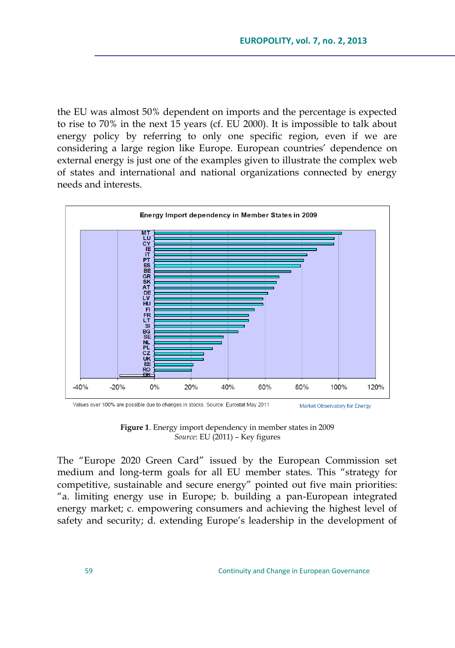the EU was almost 50% dependent on imports and the percentage is expected to rise to 70% in the next 15 years (cf. EU 2000). It is impossible to talk about energy policy by referring to only one specific region, even if we are considering a large region like Europe. European countries" dependence on external energy is just one of the examples given to illustrate the complex web of states and international and national organizations connected by energy needs and interests.



**Figure 1**. Energy import dependency in member states in 2009 *Source*: EU (2011) – Key figures

The "Europe 2020 Green Card" issued by the European Commission set medium and long-term goals for all EU member states. This "strategy for competitive, sustainable and secure energy" pointed out five main priorities: "a. limiting energy use in Europe; b. building a pan-European integrated energy market; c. empowering consumers and achieving the highest level of safety and security; d. extending Europe's leadership in the development of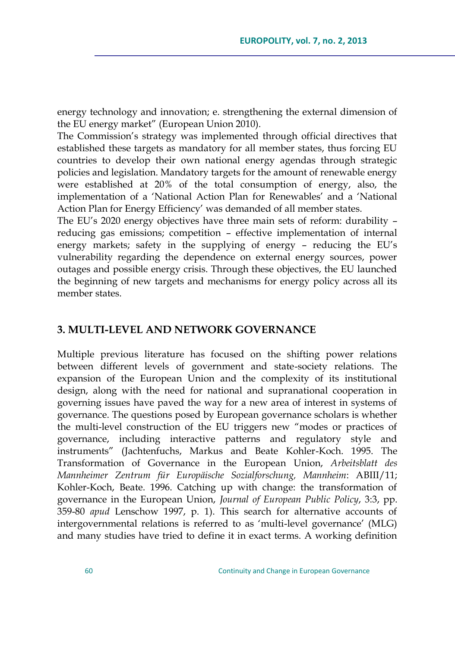energy technology and innovation; e. strengthening the external dimension of the EU energy market" (European Union 2010).

The Commission's strategy was implemented through official directives that established these targets as mandatory for all member states, thus forcing EU countries to develop their own national energy agendas through strategic policies and legislation. Mandatory targets for the amount of renewable energy were established at 20% of the total consumption of energy, also, the implementation of a "National Action Plan for Renewables" and a "National Action Plan for Energy Efficiency' was demanded of all member states.

The EU"s 2020 energy objectives have three main sets of reform: durability – reducing gas emissions; competition – effective implementation of internal energy markets; safety in the supplying of energy – reducing the EU"s vulnerability regarding the dependence on external energy sources, power outages and possible energy crisis. Through these objectives, the EU launched the beginning of new targets and mechanisms for energy policy across all its member states.

### **3. MULTI-LEVEL AND NETWORK GOVERNANCE**

Multiple previous literature has focused on the shifting power relations between different levels of government and state-society relations. The expansion of the European Union and the complexity of its institutional design, along with the need for national and supranational cooperation in governing issues have paved the way for a new area of interest in systems of governance. The questions posed by European governance scholars is whether the multi-level construction of the EU triggers new "modes or practices of governance, including interactive patterns and regulatory style and instruments" (Jachtenfuchs, Markus and Beate Kohler-Koch. 1995. The Transformation of Governance in the European Union, *Arbeitsblatt des Mannheimer Zentrum für Europäische Sozialforschung, Mannheim*: ABIII/11; Kohler-Koch, Beate. 1996. Catching up with change: the transformation of governance in the European Union, *Journal of European Public Policy*, 3:3, pp. 359-80 *apud* Lenschow 1997, p. 1). This search for alternative accounts of intergovernmental relations is referred to as "multi-level governance" (MLG) and many studies have tried to define it in exact terms. A working definition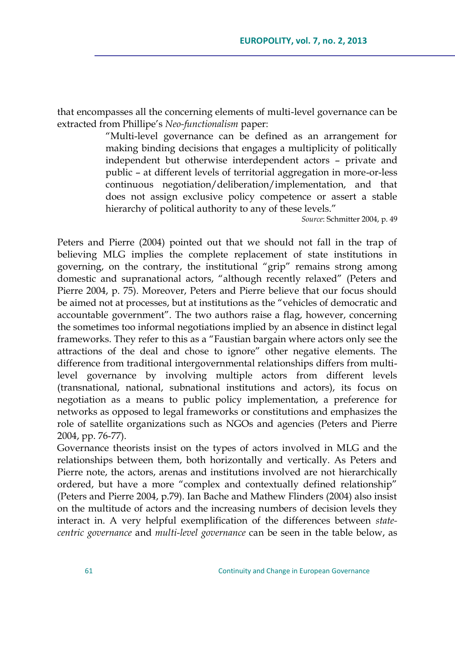that encompasses all the concerning elements of multi-level governance can be extracted from Phillipe"s *Neo-functionalism* paper:

> "Multi-level governance can be defined as an arrangement for making binding decisions that engages a multiplicity of politically independent but otherwise interdependent actors – private and public – at different levels of territorial aggregation in more-or-less continuous negotiation/deliberation/implementation, and that does not assign exclusive policy competence or assert a stable hierarchy of political authority to any of these levels."

*Source*: Schmitter 2004, p. 49

Peters and Pierre (2004) pointed out that we should not fall in the trap of believing MLG implies the complete replacement of state institutions in governing, on the contrary, the institutional "grip" remains strong among domestic and supranational actors, "although recently relaxed" (Peters and Pierre 2004, p. 75). Moreover, Peters and Pierre believe that our focus should be aimed not at processes, but at institutions as the "vehicles of democratic and accountable government". The two authors raise a flag, however, concerning the sometimes too informal negotiations implied by an absence in distinct legal frameworks. They refer to this as a "Faustian bargain where actors only see the attractions of the deal and chose to ignore" other negative elements. The difference from traditional intergovernmental relationships differs from multilevel governance by involving multiple actors from different levels (transnational, national, subnational institutions and actors), its focus on negotiation as a means to public policy implementation, a preference for networks as opposed to legal frameworks or constitutions and emphasizes the role of satellite organizations such as NGOs and agencies (Peters and Pierre 2004, pp. 76-77).

Governance theorists insist on the types of actors involved in MLG and the relationships between them, both horizontally and vertically. As Peters and Pierre note, the actors, arenas and institutions involved are not hierarchically ordered, but have a more "complex and contextually defined relationship" (Peters and Pierre 2004, p.79). Ian Bache and Mathew Flinders (2004) also insist on the multitude of actors and the increasing numbers of decision levels they interact in. A very helpful exemplification of the differences between *statecentric governance* and *multi-level governance* can be seen in the table below, as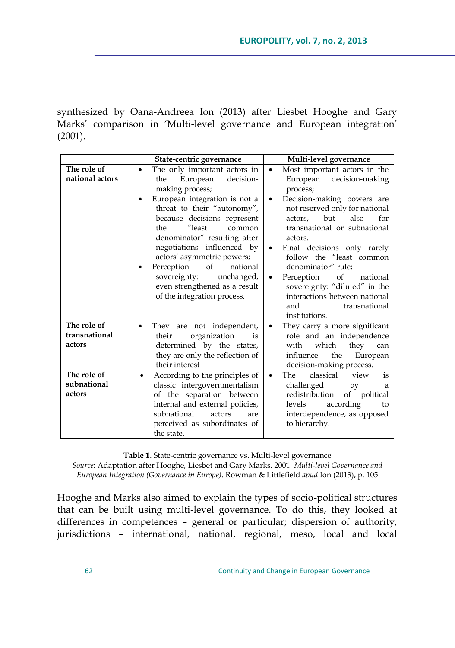synthesized by Oana-Andreea Ion (2013) after Liesbet Hooghe and Gary Marks' comparison in 'Multi-level governance and European integration' (2001).

|                                                                                | State-centric governance                                                                                                                                                                                                                                                                                                                                                                                                                    | Multi-level governance                                                                                                                                                                                                                                                                                                                                                                                                                                                              |  |
|--------------------------------------------------------------------------------|---------------------------------------------------------------------------------------------------------------------------------------------------------------------------------------------------------------------------------------------------------------------------------------------------------------------------------------------------------------------------------------------------------------------------------------------|-------------------------------------------------------------------------------------------------------------------------------------------------------------------------------------------------------------------------------------------------------------------------------------------------------------------------------------------------------------------------------------------------------------------------------------------------------------------------------------|--|
| The role of<br>national actors                                                 | The only important actors in<br>European<br>decision-<br>the<br>making process;<br>European integration is not a<br>threat to their "autonomy",<br>because decisions represent<br>"least<br>the<br>common<br>denominator" resulting after<br>negotiations influenced by<br>actors' asymmetric powers;<br>Perception<br>$\sigma f$<br>national<br>sovereignty:<br>unchanged,<br>even strengthened as a result<br>of the integration process. | Most important actors in the<br>$\bullet$<br>European decision-making<br>process;<br>Decision-making powers are<br>not reserved only for national<br>also<br>but<br>for<br>actors.<br>transnational or subnational<br>actors.<br>Final decisions only rarely<br>$\bullet$<br>follow the "least common<br>denominator" rule;<br>Perception<br>of<br>national<br>$\bullet$<br>sovereignty: "diluted" in the<br>interactions between national<br>and<br>transnational<br>institutions. |  |
| The role of<br>transnational<br>actors<br>The role of<br>subnational<br>actors | They are not independent,<br>organization<br>their<br>is<br>determined by the states,<br>they are only the reflection of<br>their interest<br>According to the principles of<br>٠<br>classic intergovernmentalism<br>of the separation between<br>internal and external policies,<br>subnational<br>actors<br>are                                                                                                                           | They carry a more significant<br>٠<br>role and an independence<br>which<br>they<br>with<br>can<br>the<br>European<br>influence<br>decision-making process.<br>classical<br>The<br>view<br>is<br>$\bullet$<br>challenged<br>by<br>a<br>redistribution<br>of political<br>according<br>levels<br>to<br>interdependence, as opposed                                                                                                                                                    |  |
|                                                                                | perceived as subordinates of<br>the state.                                                                                                                                                                                                                                                                                                                                                                                                  | to hierarchy.                                                                                                                                                                                                                                                                                                                                                                                                                                                                       |  |

**Table 1**. State-centric governance vs. Multi-level governance

*Source*: Adaptation after Hooghe, Liesbet and Gary Marks. 2001. *Multi-level Governance and European Integration (Governance in Europe)*. Rowman & Littlefield *apud* Ion (2013), p. 105

Hooghe and Marks also aimed to explain the types of socio-political structures that can be built using multi-level governance. To do this, they looked at differences in competences – general or particular; dispersion of authority, jurisdictions – international, national, regional, meso, local and local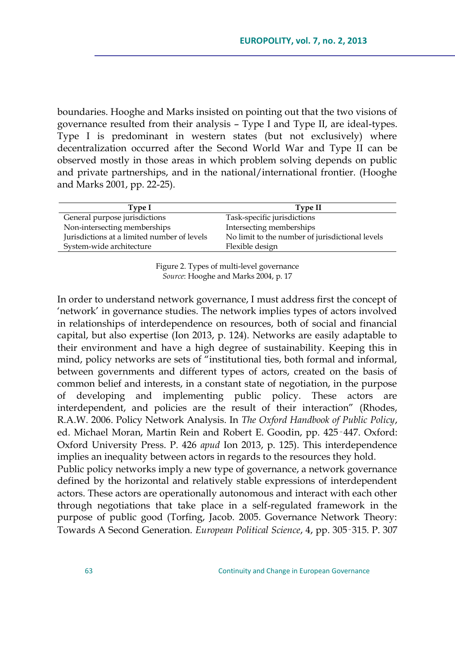boundaries. Hooghe and Marks insisted on pointing out that the two visions of governance resulted from their analysis – Type I and Type II, are ideal-types. Type I is predominant in western states (but not exclusively) where decentralization occurred after the Second World War and Type II can be observed mostly in those areas in which problem solving depends on public and private partnerships, and in the national/international frontier. (Hooghe and Marks 2001, pp. 22-25).

| Type I                                      | Type II                                         |
|---------------------------------------------|-------------------------------------------------|
| General purpose jurisdictions               | Task-specific jurisdictions                     |
| Non-intersecting memberships                | Intersecting memberships                        |
| Jurisdictions at a limited number of levels | No limit to the number of jurisdictional levels |
| System-wide architecture                    | Flexible design                                 |
|                                             |                                                 |

Figure 2. Types of multi-level governance *Source*: Hooghe and Marks 2004, p. 17

In order to understand network governance, I must address first the concept of 'network' in governance studies. The network implies types of actors involved in relationships of interdependence on resources, both of social and financial capital, but also expertise (Ion 2013, p. 124). Networks are easily adaptable to their environment and have a high degree of sustainability. Keeping this in mind, policy networks are sets of "institutional ties, both formal and informal, between governments and different types of actors, created on the basis of common belief and interests, in a constant state of negotiation, in the purpose of developing and implementing public policy. These actors are interdependent, and policies are the result of their interaction" (Rhodes, R.A.W. 2006. Policy Network Analysis. In *The Oxford Handbook of Public Policy*, ed. Michael Moran, Martin Rein and Robert E. Goodin, pp. 425‑447. Oxford: Oxford University Press. P. 426 *apud* Ion 2013, p. 125). This interdependence implies an inequality between actors in regards to the resources they hold.

Public policy networks imply a new type of governance, a network governance defined by the horizontal and relatively stable expressions of interdependent actors. These actors are operationally autonomous and interact with each other through negotiations that take place in a self-regulated framework in the purpose of public good (Torfing, Jacob. 2005. Governance Network Theory: Towards A Second Generation. *European Political Science*, 4, pp. 305‑315. P. 307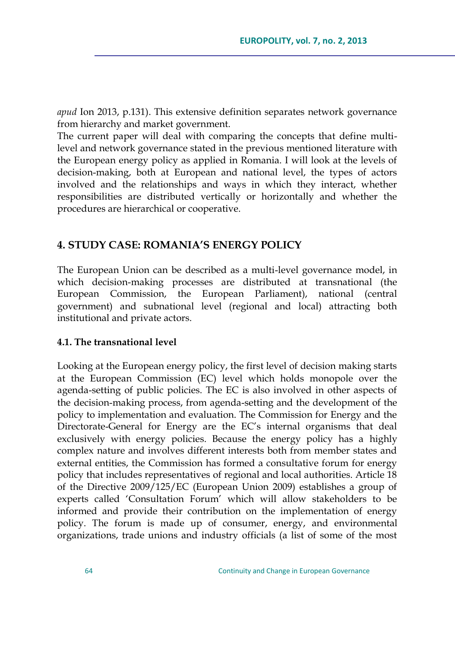*apud* Ion 2013, p.131). This extensive definition separates network governance from hierarchy and market government.

The current paper will deal with comparing the concepts that define multilevel and network governance stated in the previous mentioned literature with the European energy policy as applied in Romania. I will look at the levels of decision-making, both at European and national level, the types of actors involved and the relationships and ways in which they interact, whether responsibilities are distributed vertically or horizontally and whether the procedures are hierarchical or cooperative.

### **4. STUDY CASE: ROMANIA'S ENERGY POLICY**

The European Union can be described as a multi-level governance model, in which decision-making processes are distributed at transnational (the European Commission, the European Parliament), national (central government) and subnational level (regional and local) attracting both institutional and private actors.

#### **4.1. The transnational level**

Looking at the European energy policy, the first level of decision making starts at the European Commission (EC) level which holds monopole over the agenda-setting of public policies. The EC is also involved in other aspects of the decision-making process, from agenda-setting and the development of the policy to implementation and evaluation. The Commission for Energy and the Directorate-General for Energy are the EC"s internal organisms that deal exclusively with energy policies. Because the energy policy has a highly complex nature and involves different interests both from member states and external entities, the Commission has formed a consultative forum for energy policy that includes representatives of regional and local authorities. Article 18 of the Directive 2009/125/EC (European Union 2009) establishes a group of experts called "Consultation Forum" which will allow stakeholders to be informed and provide their contribution on the implementation of energy policy. The forum is made up of consumer, energy, and environmental organizations, trade unions and industry officials (a list of some of the most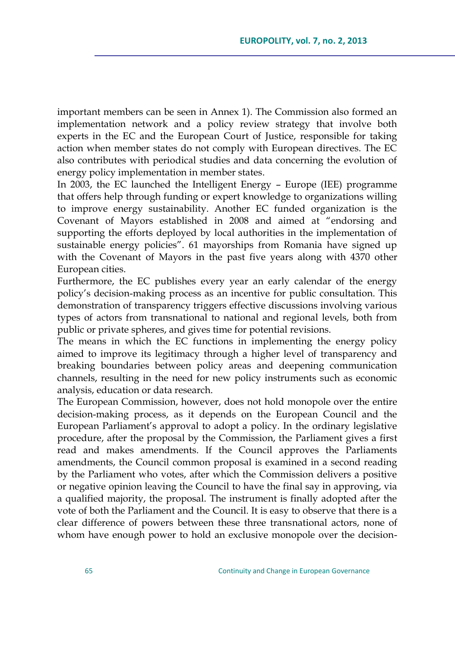important members can be seen in Annex 1). The Commission also formed an implementation network and a policy review strategy that involve both experts in the EC and the European Court of Justice, responsible for taking action when member states do not comply with European directives. The EC also contributes with periodical studies and data concerning the evolution of energy policy implementation in member states.

In 2003, the EC launched the Intelligent Energy – Europe (IEE) programme that offers help through funding or expert knowledge to organizations willing to improve energy sustainability. Another EC funded organization is the Covenant of Mayors established in 2008 and aimed at "endorsing and supporting the efforts deployed by local authorities in the implementation of sustainable energy policies". 61 mayorships from Romania have signed up with the Covenant of Mayors in the past five years along with 4370 other European cities.

Furthermore, the EC publishes every year an early calendar of the energy policy"s decision-making process as an incentive for public consultation. This demonstration of transparency triggers effective discussions involving various types of actors from transnational to national and regional levels, both from public or private spheres, and gives time for potential revisions.

The means in which the EC functions in implementing the energy policy aimed to improve its legitimacy through a higher level of transparency and breaking boundaries between policy areas and deepening communication channels, resulting in the need for new policy instruments such as economic analysis, education or data research.

The European Commission, however, does not hold monopole over the entire decision-making process, as it depends on the European Council and the European Parliament"s approval to adopt a policy. In the ordinary legislative procedure, after the proposal by the Commission, the Parliament gives a first read and makes amendments. If the Council approves the Parliaments amendments, the Council common proposal is examined in a second reading by the Parliament who votes, after which the Commission delivers a positive or negative opinion leaving the Council to have the final say in approving, via a qualified majority, the proposal. The instrument is finally adopted after the vote of both the Parliament and the Council. It is easy to observe that there is a clear difference of powers between these three transnational actors, none of whom have enough power to hold an exclusive monopole over the decision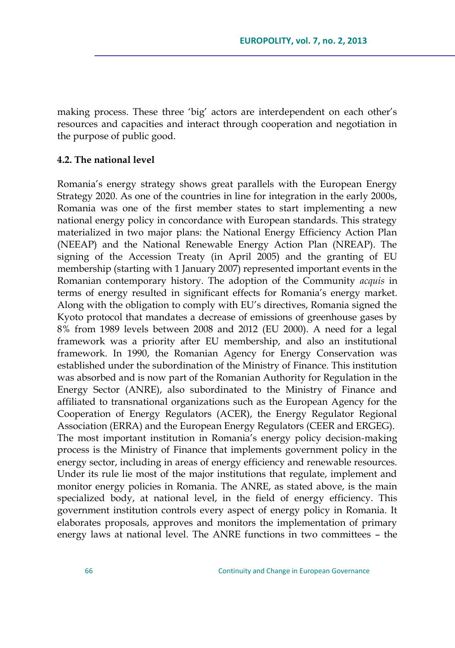making process. These three "big" actors are interdependent on each other"s resources and capacities and interact through cooperation and negotiation in the purpose of public good.

#### **4.2. The national level**

Romania"s energy strategy shows great parallels with the European Energy Strategy 2020. As one of the countries in line for integration in the early 2000s, Romania was one of the first member states to start implementing a new national energy policy in concordance with European standards. This strategy materialized in two major plans: the National Energy Efficiency Action Plan (NEEAP) and the National Renewable Energy Action Plan (NREAP). The signing of the Accession Treaty (in April 2005) and the granting of EU membership (starting with 1 January 2007) represented important events in the Romanian contemporary history. The adoption of the Community *acquis* in terms of energy resulted in significant effects for Romania's energy market. Along with the obligation to comply with EU"s directives, Romania signed the Kyoto protocol that mandates a decrease of emissions of greenhouse gases by 8% from 1989 levels between 2008 and 2012 (EU 2000). A need for a legal framework was a priority after EU membership, and also an institutional framework. In 1990, the Romanian Agency for Energy Conservation was established under the subordination of the Ministry of Finance. This institution was absorbed and is now part of the Romanian Authority for Regulation in the Energy Sector (ANRE), also subordinated to the Ministry of Finance and affiliated to transnational organizations such as the European Agency for the Cooperation of Energy Regulators (ACER), the Energy Regulator Regional Association (ERRA) and the European Energy Regulators (CEER and ERGEG). The most important institution in Romania's energy policy decision-making process is the Ministry of Finance that implements government policy in the energy sector, including in areas of energy efficiency and renewable resources. Under its rule lie most of the major institutions that regulate, implement and monitor energy policies in Romania. The ANRE, as stated above, is the main specialized body, at national level, in the field of energy efficiency. This government institution controls every aspect of energy policy in Romania. It elaborates proposals, approves and monitors the implementation of primary energy laws at national level. The ANRE functions in two committees – the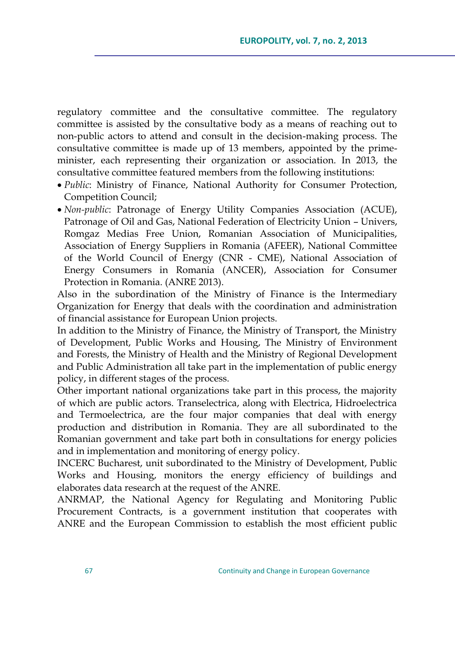regulatory committee and the consultative committee. The regulatory committee is assisted by the consultative body as a means of reaching out to non-public actors to attend and consult in the decision-making process. The consultative committee is made up of 13 members, appointed by the primeminister, each representing their organization or association. In 2013, the consultative committee featured members from the following institutions:

- *Public*: Ministry of Finance, National Authority for Consumer Protection, Competition Council;
- *Non-public*: Patronage of Energy Utility Companies Association (ACUE), Patronage of Oil and Gas, National Federation of Electricity Union – Univers, Romgaz Medias Free Union, Romanian Association of Municipalities, Association of Energy Suppliers in Romania (AFEER), National Committee of the World Council of Energy (CNR - CME), National Association of Energy Consumers in Romania (ANCER), Association for Consumer Protection in Romania. (ANRE 2013).

Also in the subordination of the Ministry of Finance is the Intermediary Organization for Energy that deals with the coordination and administration of financial assistance for European Union projects.

In addition to the Ministry of Finance, the Ministry of Transport, the Ministry of Development, Public Works and Housing, The Ministry of Environment and Forests, the Ministry of Health and the Ministry of Regional Development and Public Administration all take part in the implementation of public energy policy, in different stages of the process.

Other important national organizations take part in this process, the majority of which are public actors. Transelectrica, along with Electrica, Hidroelectrica and Termoelectrica, are the four major companies that deal with energy production and distribution in Romania. They are all subordinated to the Romanian government and take part both in consultations for energy policies and in implementation and monitoring of energy policy.

INCERC Bucharest, unit subordinated to the Ministry of Development, Public Works and Housing, monitors the energy efficiency of buildings and elaborates data research at the request of the ANRE.

ANRMAP, the National Agency for Regulating and Monitoring Public Procurement Contracts, is a government institution that cooperates with ANRE and the European Commission to establish the most efficient public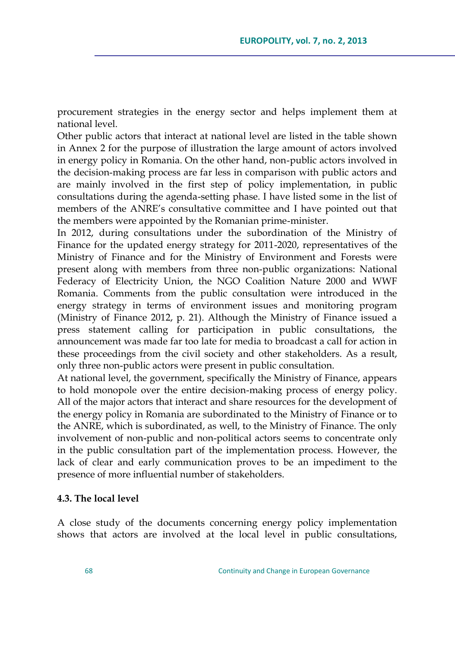procurement strategies in the energy sector and helps implement them at national level.

Other public actors that interact at national level are listed in the table shown in Annex 2 for the purpose of illustration the large amount of actors involved in energy policy in Romania. On the other hand, non-public actors involved in the decision-making process are far less in comparison with public actors and are mainly involved in the first step of policy implementation, in public consultations during the agenda-setting phase. I have listed some in the list of members of the ANRE"s consultative committee and I have pointed out that the members were appointed by the Romanian prime-minister.

In 2012, during consultations under the subordination of the Ministry of Finance for the updated energy strategy for 2011-2020, representatives of the Ministry of Finance and for the Ministry of Environment and Forests were present along with members from three non-public organizations: National Federacy of Electricity Union, the NGO Coalition Nature 2000 and WWF Romania. Comments from the public consultation were introduced in the energy strategy in terms of environment issues and monitoring program (Ministry of Finance 2012, p. 21). Although the Ministry of Finance issued a press statement calling for participation in public consultations, the announcement was made far too late for media to broadcast a call for action in these proceedings from the civil society and other stakeholders. As a result, only three non-public actors were present in public consultation.

At national level, the government, specifically the Ministry of Finance, appears to hold monopole over the entire decision-making process of energy policy. All of the major actors that interact and share resources for the development of the energy policy in Romania are subordinated to the Ministry of Finance or to the ANRE, which is subordinated, as well, to the Ministry of Finance. The only involvement of non-public and non-political actors seems to concentrate only in the public consultation part of the implementation process. However, the lack of clear and early communication proves to be an impediment to the presence of more influential number of stakeholders.

#### **4.3. The local level**

A close study of the documents concerning energy policy implementation shows that actors are involved at the local level in public consultations,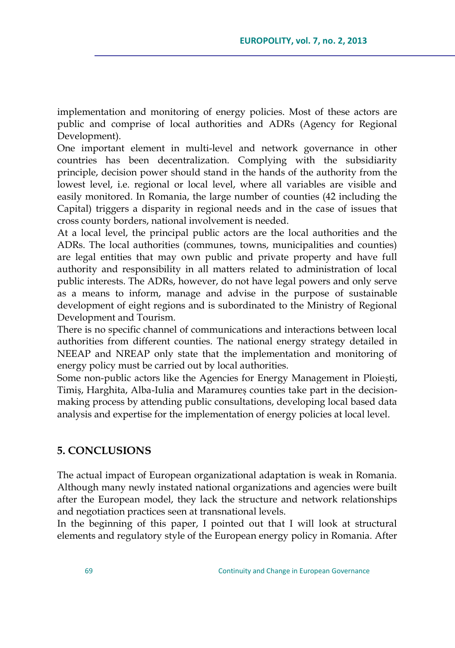implementation and monitoring of energy policies. Most of these actors are public and comprise of local authorities and ADRs (Agency for Regional Development).

One important element in multi-level and network governance in other countries has been decentralization. Complying with the subsidiarity principle, decision power should stand in the hands of the authority from the lowest level, i.e. regional or local level, where all variables are visible and easily monitored. In Romania, the large number of counties (42 including the Capital) triggers a disparity in regional needs and in the case of issues that cross county borders, national involvement is needed.

At a local level, the principal public actors are the local authorities and the ADRs. The local authorities (communes, towns, municipalities and counties) are legal entities that may own public and private property and have full authority and responsibility in all matters related to administration of local public interests. The ADRs, however, do not have legal powers and only serve as a means to inform, manage and advise in the purpose of sustainable development of eight regions and is subordinated to the Ministry of Regional Development and Tourism.

There is no specific channel of communications and interactions between local authorities from different counties. The national energy strategy detailed in NEEAP and NREAP only state that the implementation and monitoring of energy policy must be carried out by local authorities.

Some non-public actors like the Agencies for Energy Management in Ploiești, Timiș, Harghita, Alba-Iulia and Maramureș counties take part in the decisionmaking process by attending public consultations, developing local based data analysis and expertise for the implementation of energy policies at local level.

## **5. CONCLUSIONS**

The actual impact of European organizational adaptation is weak in Romania. Although many newly instated national organizations and agencies were built after the European model, they lack the structure and network relationships and negotiation practices seen at transnational levels.

In the beginning of this paper, I pointed out that I will look at structural elements and regulatory style of the European energy policy in Romania. After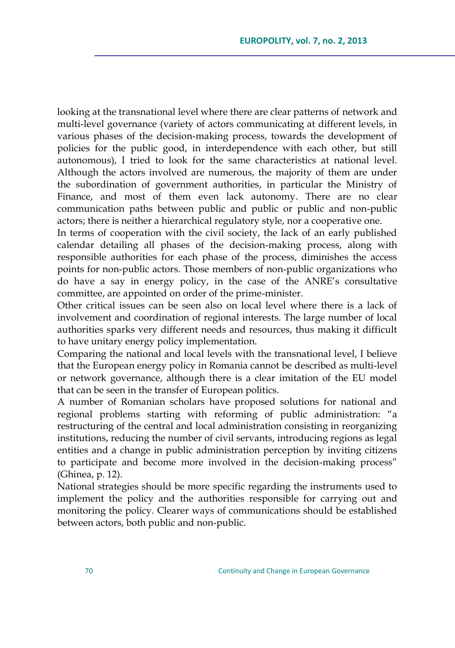looking at the transnational level where there are clear patterns of network and multi-level governance (variety of actors communicating at different levels, in various phases of the decision-making process, towards the development of policies for the public good, in interdependence with each other, but still autonomous), I tried to look for the same characteristics at national level. Although the actors involved are numerous, the majority of them are under the subordination of government authorities, in particular the Ministry of Finance, and most of them even lack autonomy. There are no clear communication paths between public and public or public and non-public actors; there is neither a hierarchical regulatory style, nor a cooperative one.

In terms of cooperation with the civil society, the lack of an early published calendar detailing all phases of the decision-making process, along with responsible authorities for each phase of the process, diminishes the access points for non-public actors. Those members of non-public organizations who do have a say in energy policy, in the case of the ANRE"s consultative committee, are appointed on order of the prime-minister.

Other critical issues can be seen also on local level where there is a lack of involvement and coordination of regional interests. The large number of local authorities sparks very different needs and resources, thus making it difficult to have unitary energy policy implementation.

Comparing the national and local levels with the transnational level, I believe that the European energy policy in Romania cannot be described as multi-level or network governance, although there is a clear imitation of the EU model that can be seen in the transfer of European politics.

A number of Romanian scholars have proposed solutions for national and regional problems starting with reforming of public administration: "a restructuring of the central and local administration consisting in reorganizing institutions, reducing the number of civil servants, introducing regions as legal entities and a change in public administration perception by inviting citizens to participate and become more involved in the decision-making process" (Ghinea, p. 12).

National strategies should be more specific regarding the instruments used to implement the policy and the authorities responsible for carrying out and monitoring the policy. Clearer ways of communications should be established between actors, both public and non-public.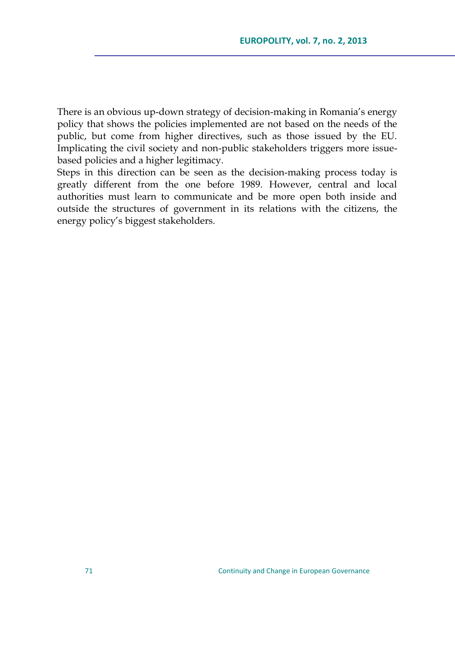There is an obvious up-down strategy of decision-making in Romania's energy policy that shows the policies implemented are not based on the needs of the public, but come from higher directives, such as those issued by the EU. Implicating the civil society and non-public stakeholders triggers more issuebased policies and a higher legitimacy.

Steps in this direction can be seen as the decision-making process today is greatly different from the one before 1989. However, central and local authorities must learn to communicate and be more open both inside and outside the structures of government in its relations with the citizens, the energy policy"s biggest stakeholders.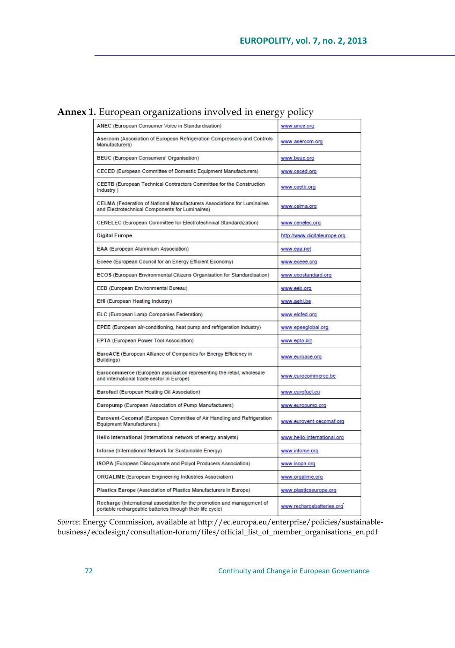## **Annex 1.** European organizations involved in energy policy

| ANEC (European Consumer Voice in Standardisation)                                                                                    | www.anec.org                 |
|--------------------------------------------------------------------------------------------------------------------------------------|------------------------------|
| Asercom (Association of European Refrigeration Compressors and Controls<br>Manufacturers)                                            | www.asercom.org              |
| BEUC (European Consumers' Organisation)                                                                                              | www.beuc.org                 |
| CECED (European Committee of Domestic Equipment Manufacturers)                                                                       | www.ceced.org                |
| CEETB (European Technical Contractors Committee for the Construction<br>Industry )                                                   | www.ceetb.org                |
| CELMA (Federation of National Manufacturers Associations for Luminaires<br>and Electrotechnical Components for Luminaires)           | www.celma.org                |
| CENELEC (European Committee for Electrotechnical Standardization)                                                                    | www.cenelec.org              |
| <b>Digital Europe</b>                                                                                                                | http://www.digitaleurope.org |
| EAA (European Aluminium Association)                                                                                                 | www.eaa.net                  |
| Eceee (European Council for an Energy Efficient Economy)                                                                             | www.eceee.org                |
| ECOS (European Environmental Citizens Organisation for Standardisation)                                                              | www.ecostandard.org          |
| EEB (European Environmental Bureau)                                                                                                  | www.eeb.org                  |
| EHI (European Heating Industry)                                                                                                      | www.aehi.be                  |
| ELC (European Lamp Companies Federation)                                                                                             | www.elcfed.org               |
| EPEE (European air-conditioning, heat pump and refrigeration industry)                                                               | www.epeeglobal.org           |
| EPTA (European Power Tool Association)                                                                                               | www.epta.biz                 |
| EuroACE (European Alliance of Companies for Energy Efficiency in<br>Buildings)                                                       | www.euroace.org              |
| Eurocommerce (European association representing the retail, wholesale<br>and international trade sector in Europe)                   | www.eurocommerce.be          |
| Eurofuel (European Heating Oil Association)                                                                                          | www.eurofuel.eu              |
| Europump (European Association of Pump Manufacturers)                                                                                | www.europump.org             |
| Eurovent-Cecomaf (European Committee of Air Handling and Refrigeration<br>Equipment Manufacturers.)                                  | www.eurovent-cecomaf.org     |
| Helio International (international network of energy analysts)                                                                       | www.helio-international.org  |
| Inforse (International Network for Sustainable Energy)                                                                               | www.inforse.org              |
| ISOPA (European Diisocyanate and Polyol Producers Association)                                                                       | www.isopa.org                |
| ORGALIME (European Engineering Industries Association)                                                                               | www.orgalime.org             |
| Plastics Europe (Association of Plastics Manufacturers in Europe)                                                                    | www.plasticseurope.org       |
| Recharge (International association for the promotion and management of<br>portable rechargeable batteries through their life cycle) | www.rechargebatteries.org    |

*Source:* Energy Commission, available a[t http://ec.europa.eu/enterprise/policies/sustainable](http://ec.europa.eu/enterprise/policies/sustainable-business/ecodesign/consultation-forum/files/official_list_of_member_organisations_en.pdf)[business/ecodesign/consultation-forum/files/official\\_list\\_of\\_member\\_organisations\\_en.pdf](http://ec.europa.eu/enterprise/policies/sustainable-business/ecodesign/consultation-forum/files/official_list_of_member_organisations_en.pdf)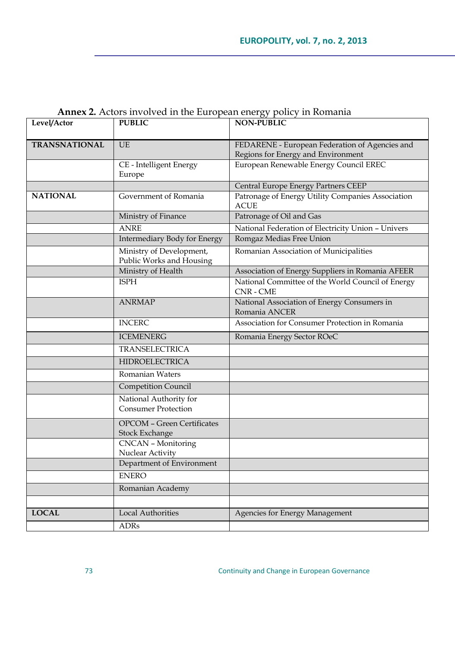| Level/Actor          | <b>PUBLIC</b>                                              | <b>NON-PUBLIC</b>                                                            |
|----------------------|------------------------------------------------------------|------------------------------------------------------------------------------|
|                      |                                                            |                                                                              |
| <b>TRANSNATIONAL</b> | UE.                                                        | FEDARENE - European Federation of Agencies and                               |
|                      | CE - Intelligent Energy                                    | Regions for Energy and Environment<br>European Renewable Energy Council EREC |
|                      | Europe                                                     |                                                                              |
|                      |                                                            | Central Europe Energy Partners CEEP                                          |
| <b>NATIONAL</b>      | Government of Romania                                      | Patronage of Energy Utility Companies Association                            |
|                      |                                                            | <b>ACUE</b>                                                                  |
|                      | Ministry of Finance                                        | Patronage of Oil and Gas                                                     |
|                      | <b>ANRE</b>                                                | National Federation of Electricity Union - Univers                           |
|                      | Intermediary Body for Energy                               | Romgaz Medias Free Union                                                     |
|                      | Ministry of Development,<br>Public Works and Housing       | Romanian Association of Municipalities                                       |
|                      | Ministry of Health                                         | Association of Energy Suppliers in Romania AFEER                             |
|                      | <b>ISPH</b>                                                | National Committee of the World Council of Energy<br>CNR - CME               |
|                      | <b>ANRMAP</b>                                              | National Association of Energy Consumers in<br>Romania ANCER                 |
|                      | <b>INCERC</b>                                              | Association for Consumer Protection in Romania                               |
|                      | <b>ICEMENERG</b>                                           | Romania Energy Sector ROeC                                                   |
|                      | <b>TRANSELECTRICA</b>                                      |                                                                              |
|                      | <b>HIDROELECTRICA</b>                                      |                                                                              |
|                      | <b>Romanian Waters</b>                                     |                                                                              |
|                      | <b>Competition Council</b>                                 |                                                                              |
|                      | National Authority for<br><b>Consumer Protection</b>       |                                                                              |
|                      | <b>OPCOM - Green Certificates</b><br><b>Stock Exchange</b> |                                                                              |
|                      | <b>CNCAN</b> - Monitoring<br>Nuclear Activity              |                                                                              |
|                      | Department of Environment                                  |                                                                              |
|                      | <b>ENERO</b>                                               |                                                                              |
|                      | Romanian Academy                                           |                                                                              |
|                      |                                                            |                                                                              |
| <b>LOCAL</b>         | <b>Local Authorities</b>                                   | Agencies for Energy Management                                               |
|                      | ADRs                                                       |                                                                              |

# **Annex 2.** Actors involved in the European energy policy in Romania